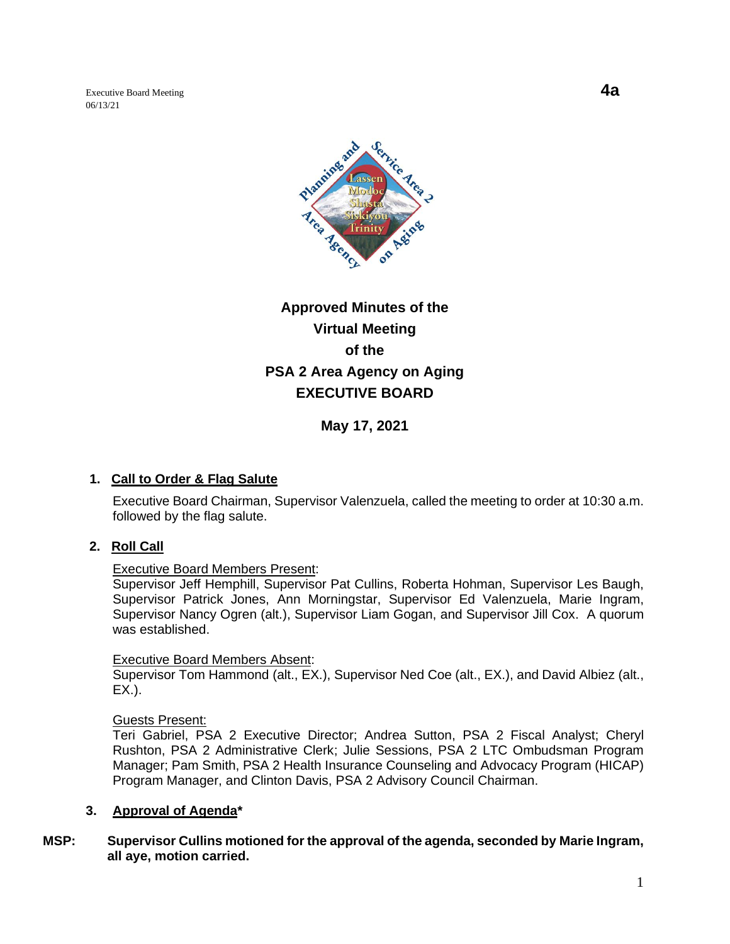Executive Board Meeting **4a** 06/13/21



# **Approved Minutes of the Virtual Meeting of the PSA 2 Area Agency on Aging EXECUTIVE BOARD**

**May 17, 2021**

# **1. Call to Order & Flag Salute**

Executive Board Chairman, Supervisor Valenzuela, called the meeting to order at 10:30 a.m. followed by the flag salute.

# **2. Roll Call**

#### Executive Board Members Present:

Supervisor Jeff Hemphill, Supervisor Pat Cullins, Roberta Hohman, Supervisor Les Baugh, Supervisor Patrick Jones, Ann Morningstar, Supervisor Ed Valenzuela, Marie Ingram, Supervisor Nancy Ogren (alt.), Supervisor Liam Gogan, and Supervisor Jill Cox. A quorum was established.

#### Executive Board Members Absent:

Supervisor Tom Hammond (alt., EX.), Supervisor Ned Coe (alt., EX.), and David Albiez (alt., EX.).

Guests Present:

Teri Gabriel, PSA 2 Executive Director; Andrea Sutton, PSA 2 Fiscal Analyst; Cheryl Rushton, PSA 2 Administrative Clerk; Julie Sessions, PSA 2 LTC Ombudsman Program Manager; Pam Smith, PSA 2 Health Insurance Counseling and Advocacy Program (HICAP) Program Manager, and Clinton Davis, PSA 2 Advisory Council Chairman.

# **3. Approval of Agenda\***

## **MSP: Supervisor Cullins motioned for the approval of the agenda, seconded by Marie Ingram, all aye, motion carried.**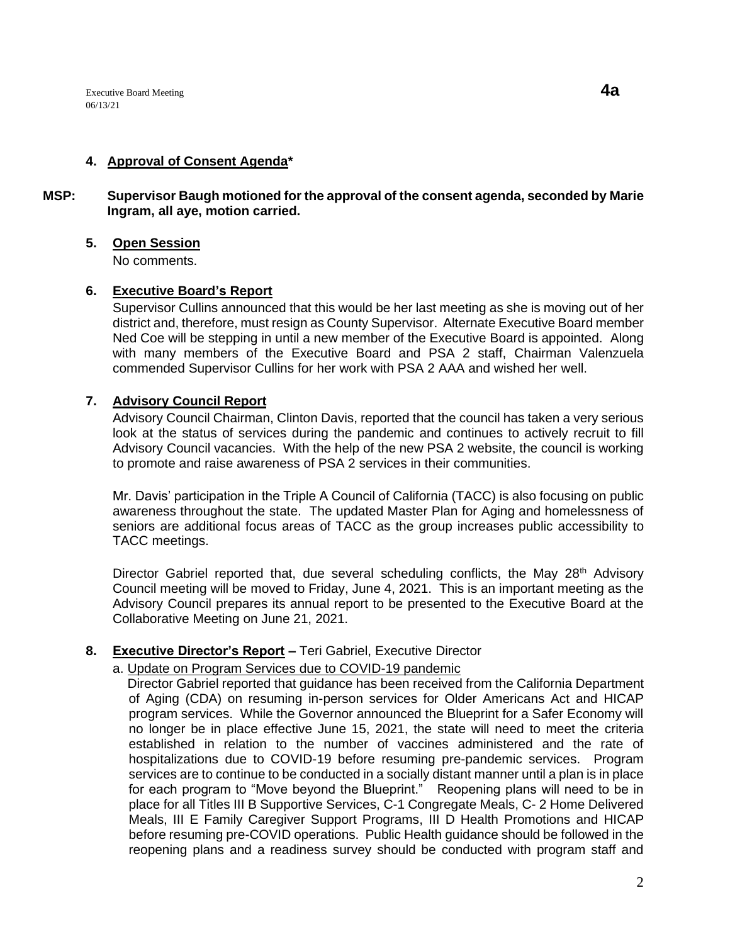# **4. Approval of Consent Agenda\***

## **MSP: Supervisor Baugh motioned for the approval of the consent agenda, seconded by Marie Ingram, all aye, motion carried.**

## **5. Open Session**

No comments.

## **6. Executive Board's Report**

Supervisor Cullins announced that this would be her last meeting as she is moving out of her district and, therefore, must resign as County Supervisor. Alternate Executive Board member Ned Coe will be stepping in until a new member of the Executive Board is appointed. Along with many members of the Executive Board and PSA 2 staff, Chairman Valenzuela commended Supervisor Cullins for her work with PSA 2 AAA and wished her well.

## **7. Advisory Council Report**

Advisory Council Chairman, Clinton Davis, reported that the council has taken a very serious look at the status of services during the pandemic and continues to actively recruit to fill Advisory Council vacancies. With the help of the new PSA 2 website, the council is working to promote and raise awareness of PSA 2 services in their communities.

Mr. Davis' participation in the Triple A Council of California (TACC) is also focusing on public awareness throughout the state. The updated Master Plan for Aging and homelessness of seniors are additional focus areas of TACC as the group increases public accessibility to TACC meetings.

Director Gabriel reported that, due several scheduling conflicts, the May 28<sup>th</sup> Advisory Council meeting will be moved to Friday, June 4, 2021. This is an important meeting as the Advisory Council prepares its annual report to be presented to the Executive Board at the Collaborative Meeting on June 21, 2021.

# **8. Executive Director's Report –** Teri Gabriel, Executive Director

# a. Update on Program Services due to COVID-19 pandemic

 Director Gabriel reported that guidance has been received from the California Department of Aging (CDA) on resuming in-person services for Older Americans Act and HICAP program services. While the Governor announced the Blueprint for a Safer Economy will no longer be in place effective June 15, 2021, the state will need to meet the criteria established in relation to the number of vaccines administered and the rate of hospitalizations due to COVID-19 before resuming pre-pandemic services. Program services are to continue to be conducted in a socially distant manner until a plan is in place for each program to "Move beyond the Blueprint." Reopening plans will need to be in place for all Titles III B Supportive Services, C-1 Congregate Meals, C- 2 Home Delivered Meals, III E Family Caregiver Support Programs, III D Health Promotions and HICAP before resuming pre-COVID operations. Public Health guidance should be followed in the reopening plans and a readiness survey should be conducted with program staff and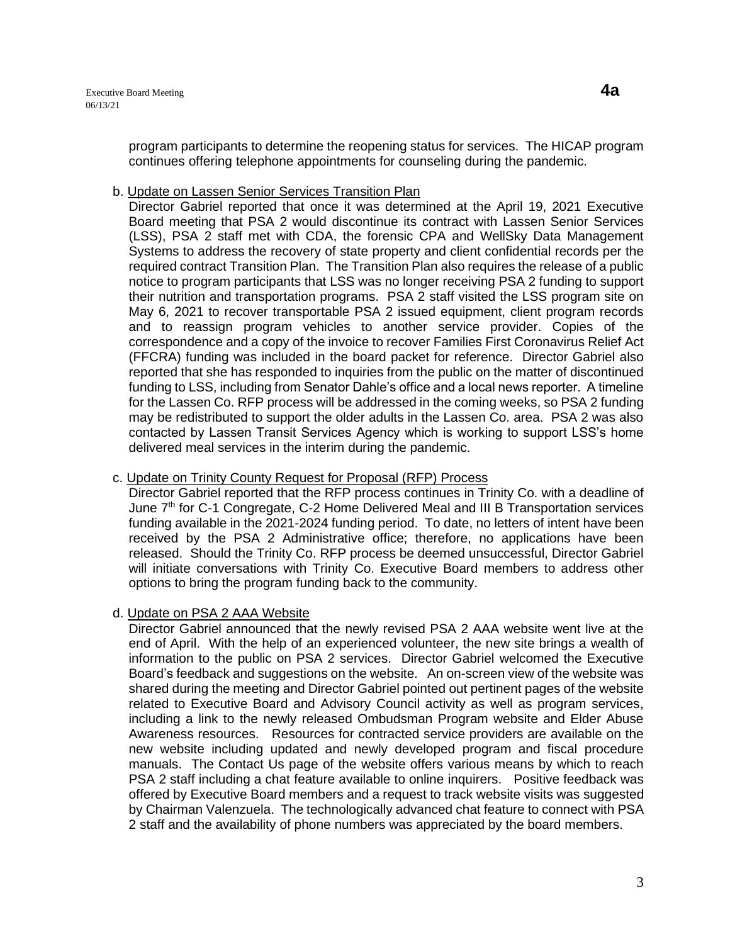program participants to determine the reopening status for services. The HICAP program continues offering telephone appointments for counseling during the pandemic.

#### b. Update on Lassen Senior Services Transition Plan

Director Gabriel reported that once it was determined at the April 19, 2021 Executive Board meeting that PSA 2 would discontinue its contract with Lassen Senior Services (LSS), PSA 2 staff met with CDA, the forensic CPA and WellSky Data Management Systems to address the recovery of state property and client confidential records per the required contract Transition Plan. The Transition Plan also requires the release of a public notice to program participants that LSS was no longer receiving PSA 2 funding to support their nutrition and transportation programs. PSA 2 staff visited the LSS program site on May 6, 2021 to recover transportable PSA 2 issued equipment, client program records and to reassign program vehicles to another service provider. Copies of the correspondence and a copy of the invoice to recover Families First Coronavirus Relief Act (FFCRA) funding was included in the board packet for reference. Director Gabriel also reported that she has responded to inquiries from the public on the matter of discontinued funding to LSS, including from Senator Dahle's office and a local news reporter. A timeline for the Lassen Co. RFP process will be addressed in the coming weeks, so PSA 2 funding may be redistributed to support the older adults in the Lassen Co. area. PSA 2 was also contacted by Lassen Transit Services Agency which is working to support LSS's home delivered meal services in the interim during the pandemic.

## c. Update on Trinity County Request for Proposal (RFP) Process

Director Gabriel reported that the RFP process continues in Trinity Co. with a deadline of June 7th for C-1 Congregate, C-2 Home Delivered Meal and III B Transportation services funding available in the 2021-2024 funding period. To date, no letters of intent have been received by the PSA 2 Administrative office; therefore, no applications have been released. Should the Trinity Co. RFP process be deemed unsuccessful, Director Gabriel will initiate conversations with Trinity Co. Executive Board members to address other options to bring the program funding back to the community.

# d. Update on PSA 2 AAA Website

Director Gabriel announced that the newly revised PSA 2 AAA website went live at the end of April. With the help of an experienced volunteer, the new site brings a wealth of information to the public on PSA 2 services. Director Gabriel welcomed the Executive Board's feedback and suggestions on the website. An on-screen view of the website was shared during the meeting and Director Gabriel pointed out pertinent pages of the website related to Executive Board and Advisory Council activity as well as program services, including a link to the newly released Ombudsman Program website and Elder Abuse Awareness resources. Resources for contracted service providers are available on the new website including updated and newly developed program and fiscal procedure manuals. The Contact Us page of the website offers various means by which to reach PSA 2 staff including a chat feature available to online inquirers. Positive feedback was offered by Executive Board members and a request to track website visits was suggested by Chairman Valenzuela. The technologically advanced chat feature to connect with PSA 2 staff and the availability of phone numbers was appreciated by the board members.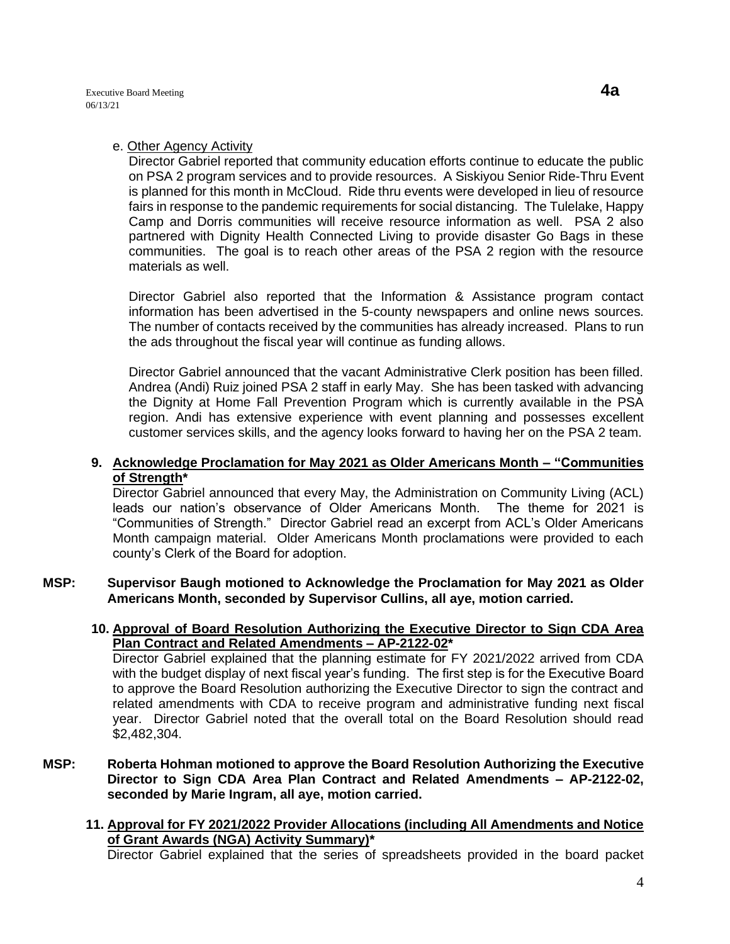#### e. Other Agency Activity

Director Gabriel reported that community education efforts continue to educate the public on PSA 2 program services and to provide resources. A Siskiyou Senior Ride-Thru Event is planned for this month in McCloud. Ride thru events were developed in lieu of resource fairs in response to the pandemic requirements for social distancing. The Tulelake, Happy Camp and Dorris communities will receive resource information as well. PSA 2 also partnered with Dignity Health Connected Living to provide disaster Go Bags in these communities. The goal is to reach other areas of the PSA 2 region with the resource materials as well.

Director Gabriel also reported that the Information & Assistance program contact information has been advertised in the 5-county newspapers and online news sources. The number of contacts received by the communities has already increased. Plans to run the ads throughout the fiscal year will continue as funding allows.

Director Gabriel announced that the vacant Administrative Clerk position has been filled. Andrea (Andi) Ruiz joined PSA 2 staff in early May. She has been tasked with advancing the Dignity at Home Fall Prevention Program which is currently available in the PSA region. Andi has extensive experience with event planning and possesses excellent customer services skills, and the agency looks forward to having her on the PSA 2 team.

#### **9. Acknowledge Proclamation for May 2021 as Older Americans Month – "Communities of Strength\***

Director Gabriel announced that every May, the Administration on Community Living (ACL) leads our nation's observance of Older Americans Month. The theme for 2021 is "Communities of Strength." Director Gabriel read an excerpt from ACL's Older Americans Month campaign material. Older Americans Month proclamations were provided to each county's Clerk of the Board for adoption.

**MSP: Supervisor Baugh motioned to Acknowledge the Proclamation for May 2021 as Older Americans Month, seconded by Supervisor Cullins, all aye, motion carried.** 

## **10. Approval of Board Resolution Authorizing the Executive Director to Sign CDA Area Plan Contract and Related Amendments – AP-2122-02\***

Director Gabriel explained that the planning estimate for FY 2021/2022 arrived from CDA with the budget display of next fiscal year's funding. The first step is for the Executive Board to approve the Board Resolution authorizing the Executive Director to sign the contract and related amendments with CDA to receive program and administrative funding next fiscal year. Director Gabriel noted that the overall total on the Board Resolution should read \$2,482,304.

- **MSP: Roberta Hohman motioned to approve the Board Resolution Authorizing the Executive Director to Sign CDA Area Plan Contract and Related Amendments – AP-2122-02, seconded by Marie Ingram, all aye, motion carried.** 
	- **11. Approval for FY 2021/2022 Provider Allocations (including All Amendments and Notice of Grant Awards (NGA) Activity Summary)\***

Director Gabriel explained that the series of spreadsheets provided in the board packet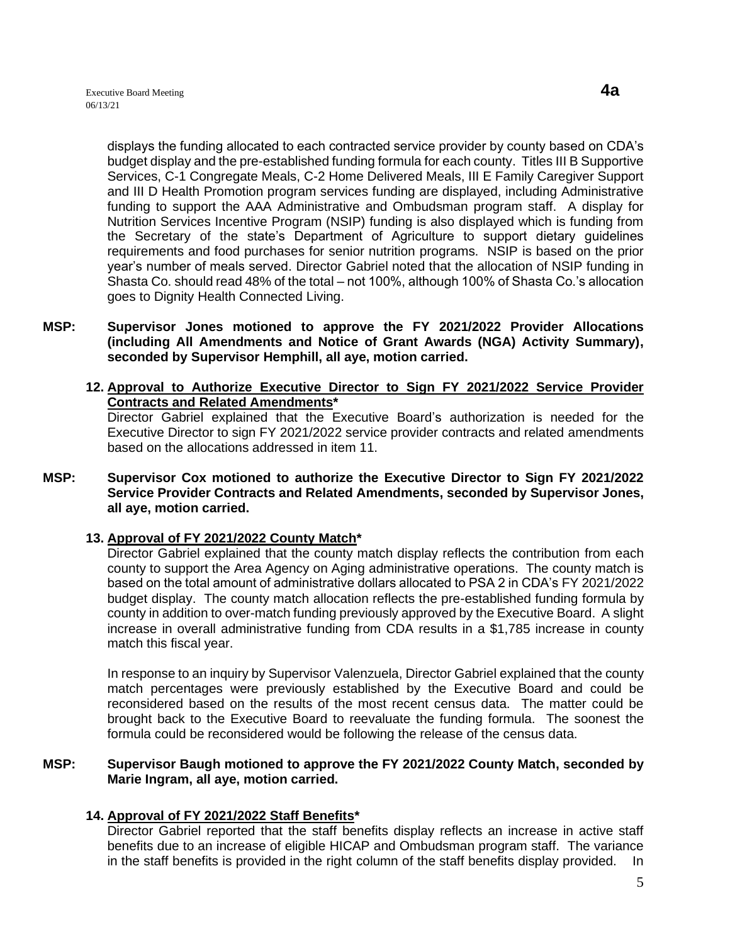displays the funding allocated to each contracted service provider by county based on CDA's budget display and the pre-established funding formula for each county. Titles III B Supportive Services, C-1 Congregate Meals, C-2 Home Delivered Meals, III E Family Caregiver Support and III D Health Promotion program services funding are displayed, including Administrative funding to support the AAA Administrative and Ombudsman program staff. A display for Nutrition Services Incentive Program (NSIP) funding is also displayed which is funding from the Secretary of the state's Department of Agriculture to support dietary guidelines requirements and food purchases for senior nutrition programs. NSIP is based on the prior year's number of meals served. Director Gabriel noted that the allocation of NSIP funding in Shasta Co. should read 48% of the total – not 100%, although 100% of Shasta Co.'s allocation goes to Dignity Health Connected Living.

- **MSP: Supervisor Jones motioned to approve the FY 2021/2022 Provider Allocations (including All Amendments and Notice of Grant Awards (NGA) Activity Summary), seconded by Supervisor Hemphill, all aye, motion carried.** 
	- **12. Approval to Authorize Executive Director to Sign FY 2021/2022 Service Provider Contracts and Related Amendments\***

Director Gabriel explained that the Executive Board's authorization is needed for the Executive Director to sign FY 2021/2022 service provider contracts and related amendments based on the allocations addressed in item 11.

**MSP: Supervisor Cox motioned to authorize the Executive Director to Sign FY 2021/2022 Service Provider Contracts and Related Amendments, seconded by Supervisor Jones, all aye, motion carried.** 

# **13. Approval of FY 2021/2022 County Match\***

Director Gabriel explained that the county match display reflects the contribution from each county to support the Area Agency on Aging administrative operations. The county match is based on the total amount of administrative dollars allocated to PSA 2 in CDA's FY 2021/2022 budget display. The county match allocation reflects the pre-established funding formula by county in addition to over-match funding previously approved by the Executive Board. A slight increase in overall administrative funding from CDA results in a \$1,785 increase in county match this fiscal year.

In response to an inquiry by Supervisor Valenzuela, Director Gabriel explained that the county match percentages were previously established by the Executive Board and could be reconsidered based on the results of the most recent census data. The matter could be brought back to the Executive Board to reevaluate the funding formula. The soonest the formula could be reconsidered would be following the release of the census data.

#### **MSP: Supervisor Baugh motioned to approve the FY 2021/2022 County Match, seconded by Marie Ingram, all aye, motion carried.**

#### **14. Approval of FY 2021/2022 Staff Benefits\***

Director Gabriel reported that the staff benefits display reflects an increase in active staff benefits due to an increase of eligible HICAP and Ombudsman program staff. The variance in the staff benefits is provided in the right column of the staff benefits display provided. In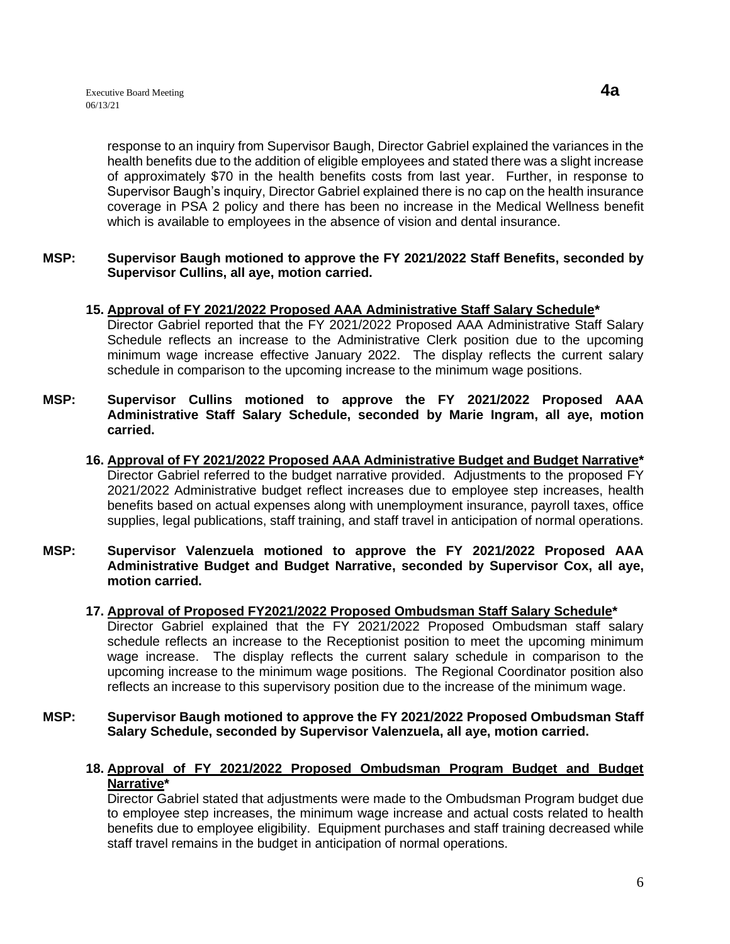response to an inquiry from Supervisor Baugh, Director Gabriel explained the variances in the health benefits due to the addition of eligible employees and stated there was a slight increase of approximately \$70 in the health benefits costs from last year. Further, in response to Supervisor Baugh's inquiry, Director Gabriel explained there is no cap on the health insurance coverage in PSA 2 policy and there has been no increase in the Medical Wellness benefit which is available to employees in the absence of vision and dental insurance.

#### **MSP: Supervisor Baugh motioned to approve the FY 2021/2022 Staff Benefits, seconded by Supervisor Cullins, all aye, motion carried.**

# **15. Approval of FY 2021/2022 Proposed AAA Administrative Staff Salary Schedule\***

Director Gabriel reported that the FY 2021/2022 Proposed AAA Administrative Staff Salary Schedule reflects an increase to the Administrative Clerk position due to the upcoming minimum wage increase effective January 2022. The display reflects the current salary schedule in comparison to the upcoming increase to the minimum wage positions.

- **MSP: Supervisor Cullins motioned to approve the FY 2021/2022 Proposed AAA Administrative Staff Salary Schedule, seconded by Marie Ingram, all aye, motion carried.**
	- **16. Approval of FY 2021/2022 Proposed AAA Administrative Budget and Budget Narrative\*** Director Gabriel referred to the budget narrative provided. Adjustments to the proposed FY 2021/2022 Administrative budget reflect increases due to employee step increases, health benefits based on actual expenses along with unemployment insurance, payroll taxes, office supplies, legal publications, staff training, and staff travel in anticipation of normal operations.
- **MSP: Supervisor Valenzuela motioned to approve the FY 2021/2022 Proposed AAA Administrative Budget and Budget Narrative, seconded by Supervisor Cox, all aye, motion carried.**
	- **17. Approval of Proposed FY2021/2022 Proposed Ombudsman Staff Salary Schedule\*** Director Gabriel explained that the FY 2021/2022 Proposed Ombudsman staff salary schedule reflects an increase to the Receptionist position to meet the upcoming minimum wage increase. The display reflects the current salary schedule in comparison to the upcoming increase to the minimum wage positions. The Regional Coordinator position also

reflects an increase to this supervisory position due to the increase of the minimum wage.

- **MSP: Supervisor Baugh motioned to approve the FY 2021/2022 Proposed Ombudsman Staff Salary Schedule, seconded by Supervisor Valenzuela, all aye, motion carried.** 
	- **18. Approval of FY 2021/2022 Proposed Ombudsman Program Budget and Budget Narrative\***

Director Gabriel stated that adjustments were made to the Ombudsman Program budget due to employee step increases, the minimum wage increase and actual costs related to health benefits due to employee eligibility. Equipment purchases and staff training decreased while staff travel remains in the budget in anticipation of normal operations.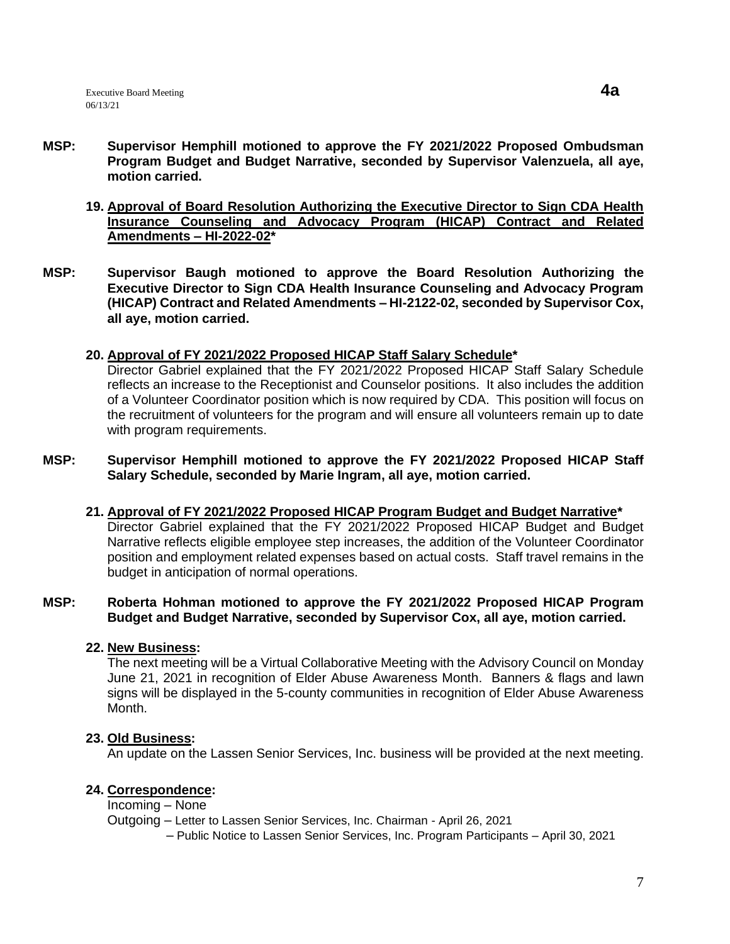- **MSP: Supervisor Hemphill motioned to approve the FY 2021/2022 Proposed Ombudsman Program Budget and Budget Narrative, seconded by Supervisor Valenzuela, all aye, motion carried.**
	- **19. Approval of Board Resolution Authorizing the Executive Director to Sign CDA Health Insurance Counseling and Advocacy Program (HICAP) Contract and Related Amendments – HI-2022-02\***
- **MSP: Supervisor Baugh motioned to approve the Board Resolution Authorizing the Executive Director to Sign CDA Health Insurance Counseling and Advocacy Program (HICAP) Contract and Related Amendments – HI-2122-02, seconded by Supervisor Cox, all aye, motion carried.**
	- **20. Approval of FY 2021/2022 Proposed HICAP Staff Salary Schedule\***

Director Gabriel explained that the FY 2021/2022 Proposed HICAP Staff Salary Schedule reflects an increase to the Receptionist and Counselor positions. It also includes the addition of a Volunteer Coordinator position which is now required by CDA. This position will focus on the recruitment of volunteers for the program and will ensure all volunteers remain up to date with program requirements.

- **MSP: Supervisor Hemphill motioned to approve the FY 2021/2022 Proposed HICAP Staff Salary Schedule, seconded by Marie Ingram, all aye, motion carried.**
	- **21. Approval of FY 2021/2022 Proposed HICAP Program Budget and Budget Narrative\*** Director Gabriel explained that the FY 2021/2022 Proposed HICAP Budget and Budget Narrative reflects eligible employee step increases, the addition of the Volunteer Coordinator position and employment related expenses based on actual costs. Staff travel remains in the budget in anticipation of normal operations.

## **MSP: Roberta Hohman motioned to approve the FY 2021/2022 Proposed HICAP Program Budget and Budget Narrative, seconded by Supervisor Cox, all aye, motion carried.**

#### **22. New Business:**

The next meeting will be a Virtual Collaborative Meeting with the Advisory Council on Monday June 21, 2021 in recognition of Elder Abuse Awareness Month. Banners & flags and lawn signs will be displayed in the 5-county communities in recognition of Elder Abuse Awareness Month.

#### **23. Old Business:**

An update on the Lassen Senior Services, Inc. business will be provided at the next meeting.

# **24. Correspondence:**

Incoming – None

Outgoing – Letter to Lassen Senior Services, Inc. Chairman - April 26, 2021

– Public Notice to Lassen Senior Services, Inc. Program Participants – April 30, 2021